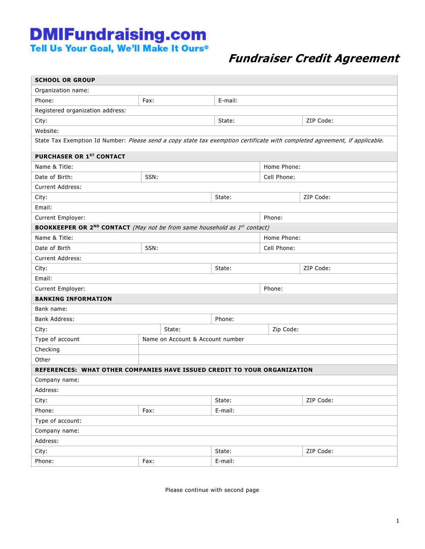## **DMIFundraising.com**<br>Tell Us Your Goal, We'll Make It Ours<sup>®</sup>

## Fundraiser Credit Agreement

| <b>SCHOOL OR GROUP</b>                                                                                                     |                                  |        |         |                     |           |  |  |  |
|----------------------------------------------------------------------------------------------------------------------------|----------------------------------|--------|---------|---------------------|-----------|--|--|--|
| Organization name:                                                                                                         |                                  |        |         |                     |           |  |  |  |
| Phone:                                                                                                                     | Fax:                             |        | E-mail: |                     |           |  |  |  |
| Registered organization address:                                                                                           |                                  |        |         |                     |           |  |  |  |
| City:                                                                                                                      |                                  |        | State:  |                     | ZIP Code: |  |  |  |
| Website:                                                                                                                   |                                  |        |         |                     |           |  |  |  |
| State Tax Exemption Id Number: Please send a copy state tax exemption certificate with completed agreement, if applicable. |                                  |        |         |                     |           |  |  |  |
| PURCHASER OR 1ST CONTACT                                                                                                   |                                  |        |         |                     |           |  |  |  |
| Name & Title:<br>Home Phone:                                                                                               |                                  |        |         |                     |           |  |  |  |
| Date of Birth:                                                                                                             | SSN:                             |        |         | Cell Phone:         |           |  |  |  |
| <b>Current Address:</b>                                                                                                    |                                  |        |         |                     |           |  |  |  |
| City:                                                                                                                      |                                  |        | State:  | ZIP Code:           |           |  |  |  |
| Email:                                                                                                                     |                                  |        |         |                     |           |  |  |  |
| Current Employer:                                                                                                          |                                  |        |         | Phone:              |           |  |  |  |
| <b>BOOKKEEPER OR 2<sup>ND</sup> CONTACT</b> (May not be from same household as $1^{st}$ contact)                           |                                  |        |         |                     |           |  |  |  |
| Name & Title:                                                                                                              |                                  |        |         | Home Phone:         |           |  |  |  |
| Date of Birth                                                                                                              | SSN:                             |        |         | Cell Phone:         |           |  |  |  |
| <b>Current Address:</b>                                                                                                    |                                  |        |         |                     |           |  |  |  |
| ZIP Code:<br>City:<br>State:                                                                                               |                                  |        |         |                     |           |  |  |  |
| Email:                                                                                                                     |                                  |        |         |                     |           |  |  |  |
| Current Employer:                                                                                                          |                                  | Phone: |         |                     |           |  |  |  |
| <b>BANKING INFORMATION</b>                                                                                                 |                                  |        |         |                     |           |  |  |  |
| Bank name:                                                                                                                 |                                  |        |         |                     |           |  |  |  |
| <b>Bank Address:</b>                                                                                                       |                                  |        | Phone:  |                     |           |  |  |  |
| City:                                                                                                                      |                                  | State: |         | Zip Code:           |           |  |  |  |
| Type of account                                                                                                            | Name on Account & Account number |        |         |                     |           |  |  |  |
| Checking                                                                                                                   |                                  |        |         |                     |           |  |  |  |
| Other                                                                                                                      |                                  |        |         |                     |           |  |  |  |
| REFERENCES: WHAT OTHER COMPANIES HAVE ISSUED CREDIT TO YOUR ORGANIZATION                                                   |                                  |        |         |                     |           |  |  |  |
| Company name:                                                                                                              |                                  |        |         |                     |           |  |  |  |
| Address:                                                                                                                   |                                  |        |         |                     |           |  |  |  |
| City:                                                                                                                      |                                  |        |         | ZIP Code:<br>State: |           |  |  |  |
| Phone:                                                                                                                     | Fax:                             |        | E-mail: |                     |           |  |  |  |
| Type of account:                                                                                                           |                                  |        |         |                     |           |  |  |  |
| Company name:                                                                                                              |                                  |        |         |                     |           |  |  |  |
| Address:                                                                                                                   |                                  |        |         |                     |           |  |  |  |
| City:                                                                                                                      |                                  |        |         | ZIP Code:<br>State: |           |  |  |  |
| Phone:                                                                                                                     | E-mail:<br>Fax:                  |        |         |                     |           |  |  |  |

Please continue with second page